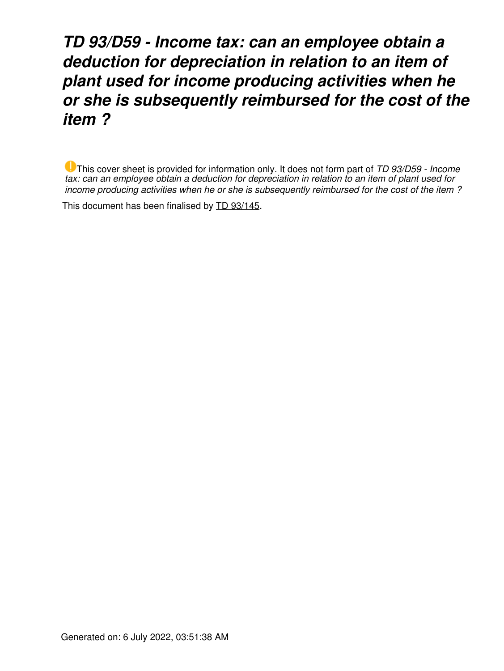## *TD 93/D59 - Income tax: can an employee obtain a deduction for depreciation in relation to an item of plant used for income producing activities when he or she is subsequently reimbursed for the cost of the item ?*

This cover sheet is provided for information only. It does not form part of *TD 93/D59 - Income tax: can an employee obtain a deduction for depreciation in relation to an item of plant used for income producing activities when he or she is subsequently reimbursed for the cost of the item ?*

This document has been finalised by [TD 93/145](https://www.ato.gov.au/law/view/document?LocID=%22TXD%2FTD93145%2FNAT%2FATO%22&PiT=20120521000001).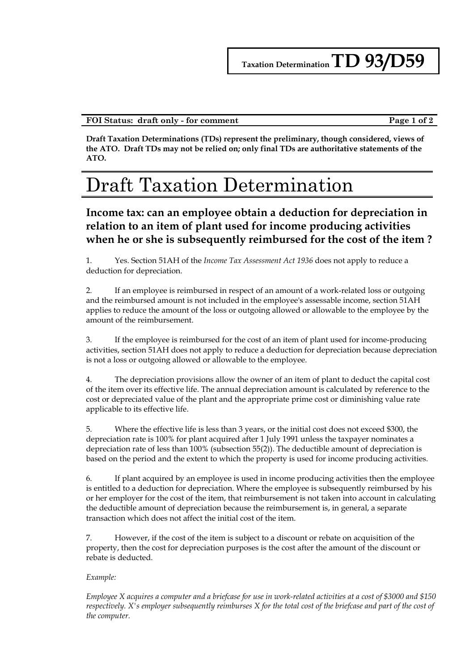## **FOI Status: draft only - for comment Page 1 of 2**

**Draft Taxation Determinations (TDs) represent the preliminary, though considered, views of the ATO. Draft TDs may not be relied on; only final TDs are authoritative statements of the ATO.**

## Draft Taxation Determination

**Income tax: can an employee obtain a deduction for depreciation in relation to an item of plant used for income producing activities when he or she is subsequently reimbursed for the cost of the item ?**

1. Yes. Section 51AH of the *Income Tax Assessment Act 1936* does not apply to reduce a deduction for depreciation.

2. If an employee is reimbursed in respect of an amount of a work-related loss or outgoing and the reimbursed amount is not included in the employee's assessable income, section 51AH applies to reduce the amount of the loss or outgoing allowed or allowable to the employee by the amount of the reimbursement.

3. If the employee is reimbursed for the cost of an item of plant used for income-producing activities, section 51AH does not apply to reduce a deduction for depreciation because depreciation is not a loss or outgoing allowed or allowable to the employee.

4. The depreciation provisions allow the owner of an item of plant to deduct the capital cost of the item over its effective life. The annual depreciation amount is calculated by reference to the cost or depreciated value of the plant and the appropriate prime cost or diminishing value rate applicable to its effective life.

5. Where the effective life is less than 3 years, or the initial cost does not exceed \$300, the depreciation rate is 100% for plant acquired after 1 July 1991 unless the taxpayer nominates a depreciation rate of less than 100% (subsection 55(2)). The deductible amount of depreciation is based on the period and the extent to which the property is used for income producing activities.

6. If plant acquired by an employee is used in income producing activities then the employee is entitled to a deduction for depreciation. Where the employee is subsequently reimbursed by his or her employer for the cost of the item, that reimbursement is not taken into account in calculating the deductible amount of depreciation because the reimbursement is, in general, a separate transaction which does not affect the initial cost of the item.

7. However, if the cost of the item is subject to a discount or rebate on acquisition of the property, then the cost for depreciation purposes is the cost after the amount of the discount or rebate is deducted.

## *Example:*

*Employee X acquires a computer and a briefcase for use in work-related activities at a cost of \$3000 and \$150 respectively. X's employer subsequently reimburses X for the total cost of the briefcase and part of the cost of the computer.*